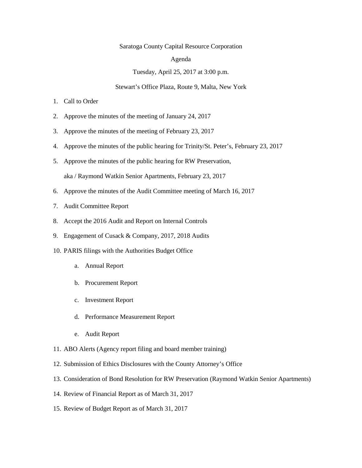## Saratoga County Capital Resource Corporation

#### Agenda

#### Tuesday, April 25, 2017 at 3:00 p.m.

### Stewart's Office Plaza, Route 9, Malta, New York

- 1. Call to Order
- 2. Approve the minutes of the meeting of January 24, 2017
- 3. Approve the minutes of the meeting of February 23, 2017
- 4. Approve the minutes of the public hearing for Trinity/St. Peter's, February 23, 2017
- 5. Approve the minutes of the public hearing for RW Preservation, aka / Raymond Watkin Senior Apartments, February 23, 2017
- 6. Approve the minutes of the Audit Committee meeting of March 16, 2017
- 7. Audit Committee Report
- 8. Accept the 2016 Audit and Report on Internal Controls
- 9. Engagement of Cusack & Company, 2017, 2018 Audits
- 10. PARIS filings with the Authorities Budget Office
	- a. Annual Report
	- b. Procurement Report
	- c. Investment Report
	- d. Performance Measurement Report
	- e. Audit Report
- 11. ABO Alerts (Agency report filing and board member training)
- 12. Submission of Ethics Disclosures with the County Attorney's Office
- 13. Consideration of Bond Resolution for RW Preservation (Raymond Watkin Senior Apartments)
- 14. Review of Financial Report as of March 31, 2017
- 15. Review of Budget Report as of March 31, 2017